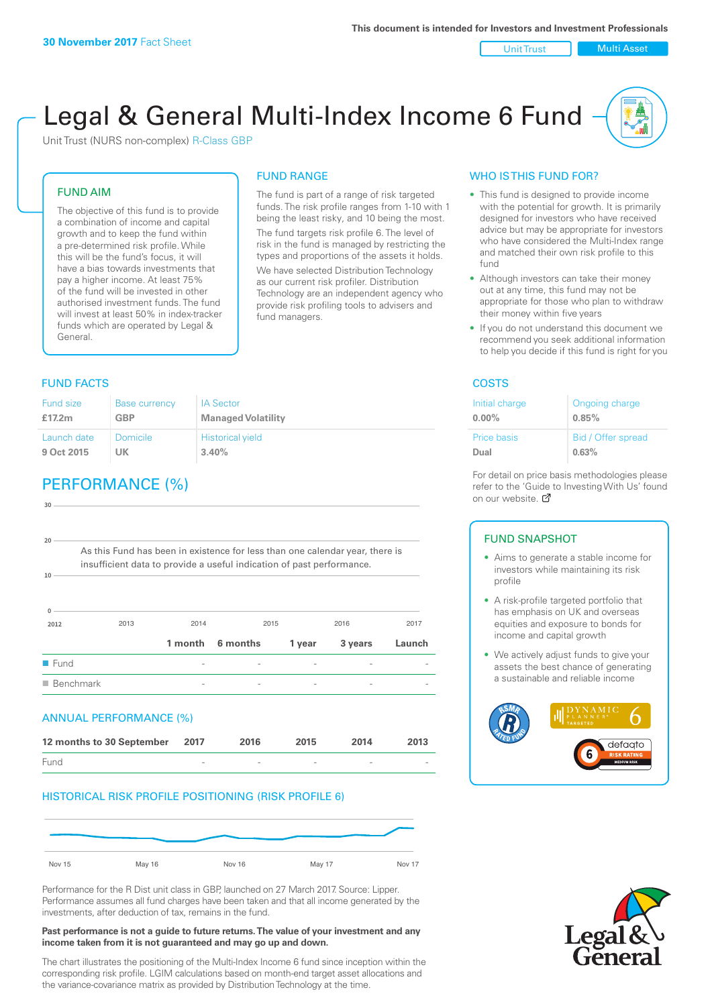Unit Trust | Multi Asset

# Legal & General Multi-Index Income 6 Fund

Unit Trust (NURS non-complex) R-Class GBP

#### FUND AIM

The objective of this fund is to provide a combination of income and capital growth and to keep the fund within a pre-determined risk profile. While this will be the fund's focus, it will have a bias towards investments that pay a higher income. At least 75% of the fund will be invested in other authorised investment funds. The fund will invest at least 50% in index-tracker funds which are operated by Legal & General.

### **FUND FACTS** COSTS

### FUND RANGE The fund is part of a range of risk targeted

funds. The risk profile ranges from 1-10 with 1 being the least risky, and 10 being the most. The fund targets risk profile 6. The level of risk in the fund is managed by restricting the

types and proportions of the assets it holds. We have selected Distribution Technology as our current risk profiler. Distribution Technology are an independent agency who provide risk profiling tools to advisers and fund managers.

| <b>Fund size</b> | <b>Base currency</b> | <b>IA Sector</b>          |
|------------------|----------------------|---------------------------|
| £17.2m           | <b>GBP</b>           | <b>Managed Volatility</b> |
| Launch date      | Domicile             | <b>Historical yield</b>   |
| 9 Oct 2015       | UK                   | 3.40%                     |

## PERFORMANCE (%)

| $30 -$                   |                                                                              |         |          |        |         |        |
|--------------------------|------------------------------------------------------------------------------|---------|----------|--------|---------|--------|
|                          |                                                                              |         |          |        |         |        |
| 20                       |                                                                              |         |          |        |         |        |
|                          | As this Fund has been in existence for less than one calendar year, there is |         |          |        |         |        |
| 10                       | insufficient data to provide a useful indication of past performance.        |         |          |        |         |        |
|                          |                                                                              |         |          |        |         |        |
|                          |                                                                              |         |          |        |         |        |
| $\mathbf{0}$             | 2013                                                                         | 2014    | 2015     |        | 2016    | 2017   |
| 2012                     |                                                                              |         |          |        |         |        |
|                          |                                                                              | 1 month | 6 months | 1 year | 3 years | Launch |
| $\blacksquare$ Fund      |                                                                              |         |          |        |         |        |
| $\blacksquare$ Benchmark |                                                                              |         |          |        |         |        |
|                          |                                                                              |         |          |        |         |        |
|                          | <b>ANNUAL PERFORMANCE (%)</b>                                                |         |          |        |         |        |
|                          | 12 months to 30 September                                                    | 2017    | 2016     | 2015   | 2014    | 2013   |
| Fund                     |                                                                              |         |          |        |         |        |

#### HISTORICAL RISK PROFILE POSITIONING (RISK PROFILE 6)



Performance for the R Dist unit class in GBP, launched on 27 March 2017. Source: Lipper. Performance assumes all fund charges have been taken and that all income generated by the investments, after deduction of tax, remains in the fund.

#### **Past performance is not a guide to future returns. The value of your investment and any income taken from it is not guaranteed and may go up and down.**

The chart illustrates the positioning of the Multi-Index Income 6 fund since inception within the corresponding risk profile. LGIM calculations based on month-end target asset allocations and the variance-covariance matrix as provided by Distribution Technology at the time.

#### WHO IS THIS FUND FOR?

- This fund is designed to provide income with the potential for growth. It is primarily designed for investors who have received advice but may be appropriate for investors who have considered the Multi-Index range and matched their own risk profile to this fund
- Although investors can take their money out at any time, this fund may not be appropriate for those who plan to withdraw their money within five years
- If you do not understand this document we recommend you seek additional information to help you decide if this fund is right for you

| Initial charge | Ongoing charge     |
|----------------|--------------------|
| $0.00\%$       | 0.85%              |
| Price basis    | Bid / Offer spread |
| Dual           | 0.63%              |

For detail on price basis methodologies please refer to the 'Gu[ide t](http://www.legalandgeneral.com/guide)o Investing With Us' found on our website. Ø

#### FUND SNAPSHOT

- Aims to generate a stable income for investors while maintaining its risk profile
- A risk-profile targeted portfolio that has emphasis on UK and overseas equities and exposure to bonds for income and capital growth
- We actively adjust funds to give your assets the best chance of generating a sustainable and reliable income



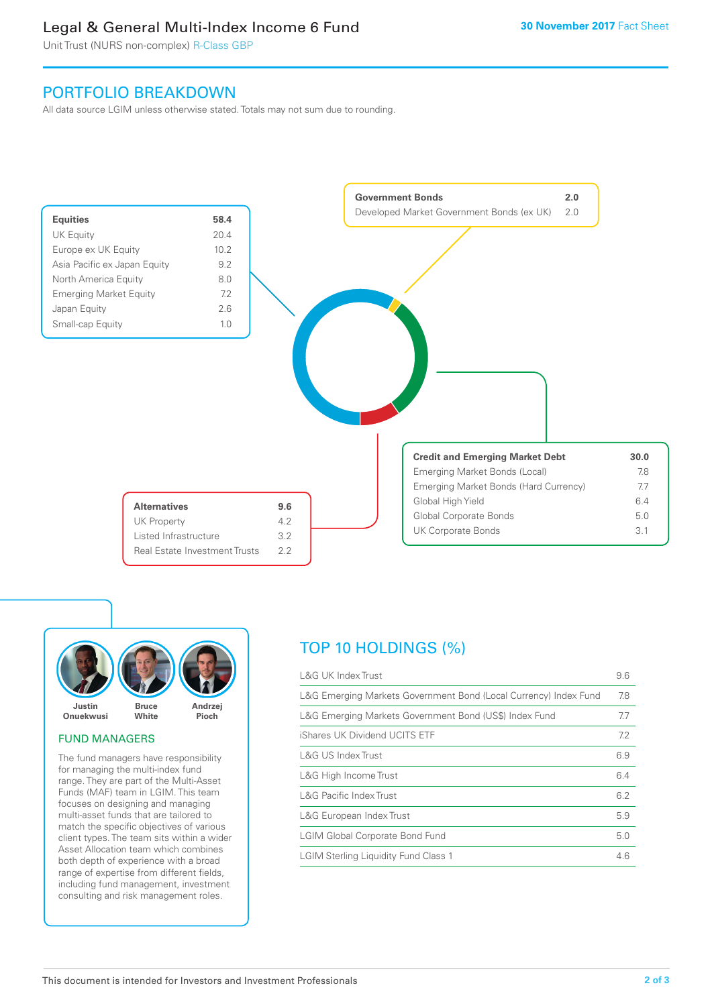### Legal & General Multi-Index Income 6 Fund

Unit Trust (NURS non-complex) R-Class GBP

### PORTFOLIO BREAKDOWN

All data source LGIM unless otherwise stated. Totals may not sum due to rounding.





#### FUND MANAGERS

The fund managers have responsibility for managing the multi-index fund range. They are part of the Multi-Asset Funds (MAF) team in LGIM. This team focuses on designing and managing multi-asset funds that are tailored to match the specific objectives of various client types. The team sits within a wider Asset Allocation team which combines both depth of experience with a broad range of expertise from different fields, including fund management, investment consulting and risk management roles.

### TOP 10 HOLDINGS (%)

| <b>L&amp;G UK Index Trust</b>                                    | 9.6 |
|------------------------------------------------------------------|-----|
| L&G Emerging Markets Government Bond (Local Currency) Index Fund | 7.8 |
| L&G Emerging Markets Government Bond (US\$) Index Fund           | 7.7 |
| iShares UK Dividend UCITS ETF                                    | 7.2 |
| <b>L&amp;G US Index Trust</b>                                    | 6.9 |
| L&G High Income Trust                                            | 6.4 |
| <b>L&amp;G Pacific Index Trust</b>                               | 6.2 |
| L&G European Index Trust                                         | 5.9 |
| <b>LGIM Global Corporate Bond Fund</b>                           | 5.0 |
| <b>LGIM Sterling Liquidity Fund Class 1</b>                      | 4.6 |